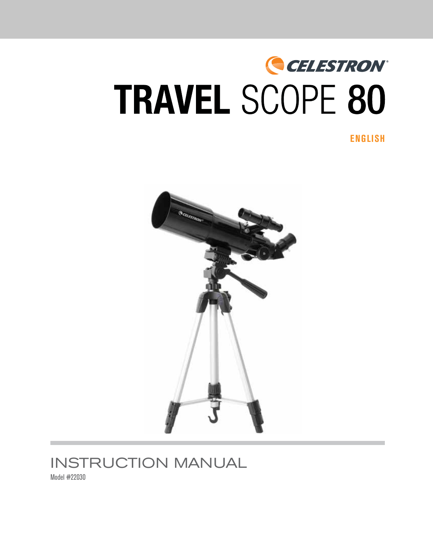# CELESTRON® TRAVEL SCOPE 80

**ENGLISH**



# INSTRUCTION MANUAL

Model #22030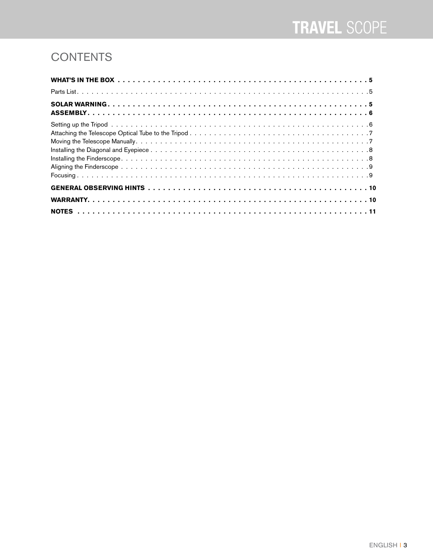# **CONTENTS**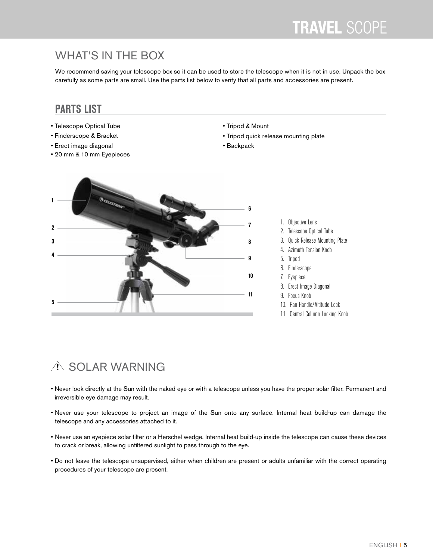### WHAT'S IN THE BOX

We recommend saving your telescope box so it can be used to store the telescope when it is not in use. Unpack the box carefully as some parts are small. Use the parts list below to verify that all parts and accessories are present.

#### **PARTS LIST**

- Telescope Optical Tube
- Finderscope & Bracket
- Erect image diagonal
- 20 mm & 10 mm Eyepieces
- Tripod & Mount
- Tripod quick release mounting plate
- Backpack



- 1. Objective Lens
- 2. Telescope Optical Tube
- 3. Quick Release Mounting Plate
- 4. Azimuth Tension Knob
- 5. Tripod
- 6. Finderscope
- 7. Eyepiece
- 8. Erect Image Diagonal
- 9. Focus Knob
- 10. Pan Handle/Altitude Lock
- 11. Central Column Locking Knob

# A SOLAR WARNING

- Never look directly at the Sun with the naked eye or with a telescope unless you have the proper solar filter. Permanent and irreversible eye damage may result.
- Never use your telescope to project an image of the Sun onto any surface. Internal heat build-up can damage the telescope and any accessories attached to it.
- Never use an eyepiece solar filter or a Herschel wedge. Internal heat build-up inside the telescope can cause these devices to crack or break, allowing unfiltered sunlight to pass through to the eye.
- Do not leave the telescope unsupervised, either when children are present or adults unfamiliar with the correct operating procedures of your telescope are present.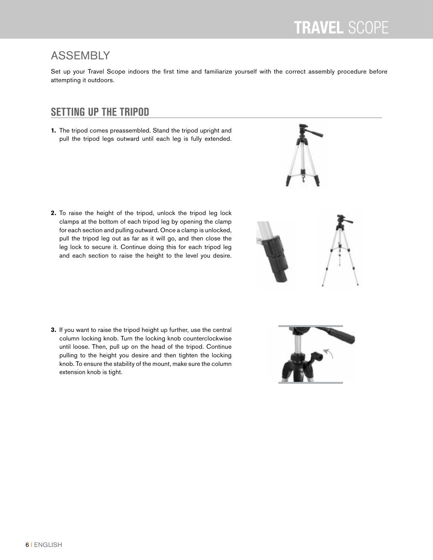#### ASSEMBLY

Set up your Travel Scope indoors the first time and familiarize yourself with the correct assembly procedure before attempting it outdoors.

#### **SETTING UP THE TRIPOD**

**1.** The tripod comes preassembled. Stand the tripod upright and pull the tripod legs outward until each leg is fully extended.

**2.** To raise the height of the tripod, unlock the tripod leg lock clamps at the bottom of each tripod leg by opening the clamp for each section and pulling outward. Once a clamp is unlocked, pull the tripod leg out as far as it will go, and then close the leg lock to secure it. Continue doing this for each tripod leg and each section to raise the height to the level you desire.

**3.** If you want to raise the tripod height up further, use the central column locking knob. Turn the locking knob counterclockwise until loose. Then, pull up on the head of the tripod. Continue pulling to the height you desire and then tighten the locking knob. To ensure the stability of the mount, make sure the column extension knob is tight.

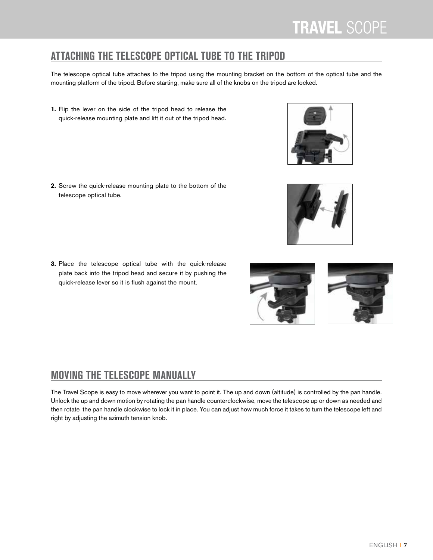### **ATTACHING THE TELESCOPE OPTICAL TUBE TO THE TRIPOD**

The telescope optical tube attaches to the tripod using the mounting bracket on the bottom of the optical tube and the mounting platform of the tripod. Before starting, make sure all of the knobs on the tripod are locked.

**1.** Flip the lever on the side of the tripod head to release the quick-release mounting plate and lift it out of the tripod head.

**2.**Screw the quick-release mounting plate to the bottom of the telescope optical tube.

**3.**Place the telescope optical tube with the quick-release plate back into the tripod head and secure it by pushing the quick-release lever so it is flush against the mount.

### **MOVING THE TELESCOPE MANUALLY**

The Travel Scope is easy to move wherever you want to point it. The up and down (altitude) is controlled by the pan handle. Unlock the up and down motion by rotating the pan handle counterclockwise, move the telescope up or down as needed and then rotate the pan handle clockwise to lock it in place. You can adjust how much force it takes to turn the telescope left and right by adjusting the azimuth tension knob.





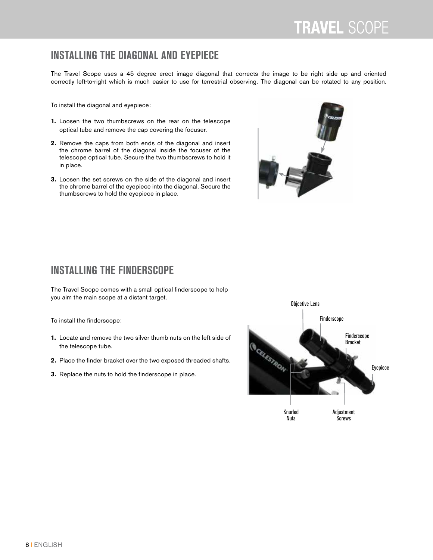#### **INSTALLING THE DIAGONAL AND EYEPIECE**

The Travel Scope uses a 45 degree erect image diagonal that corrects the image to be right side up and oriented correctly left-to-right which is much easier to use for terrestrial observing. The diagonal can be rotated to any position.

To install the diagonal and eyepiece:

- **1.** Loosen the two thumbscrews on the rear on the telescope optical tube and remove the cap covering the focuser.
- **2.** Remove the caps from both ends of the diagonal and insert the chrome barrel of the diagonal inside the focuser of the telescope optical tube. Secure the two thumbscrews to hold it in place.
- **3.** Loosen the set screws on the side of the diagonal and insert the chrome barrel of the eyepiece into the diagonal. Secure the thumbscrews to hold the eyepiece in place.



#### **INSTALLING THE FINDERSCOPE**

The Travel Scope comes with a small optical finderscope to help you aim the main scope at a distant target.

To install the finderscope:

- **1.** Locate and remove the two silver thumb nuts on the left side of the telescope tube.
- **2.** Place the finder bracket over the two exposed threaded shafts.
- **3.** Replace the nuts to hold the finderscope in place.

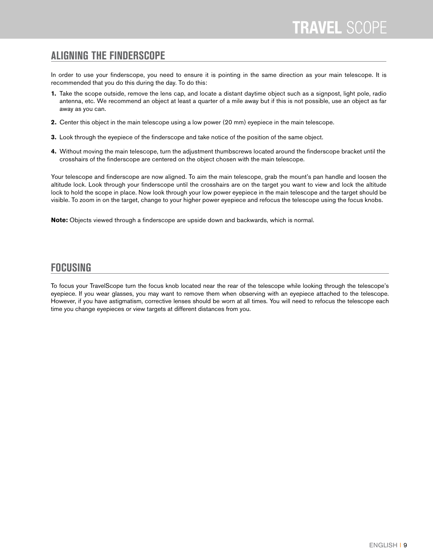#### **ALIGNING THE FINDERSCOPE**

In order to use your finderscope, you need to ensure it is pointing in the same direction as your main telescope. It is recommended that you do this during the day. To do this:

- **1.** Take the scope outside, remove the lens cap, and locate a distant daytime object such as a signpost, light pole, radio antenna, etc. We recommend an object at least a quarter of a mile away but if this is not possible, use an object as far away as you can.
- **2.** Center this object in the main telescope using a low power (20 mm) eyepiece in the main telescope.
- **3.** Look through the eyepiece of the finderscope and take notice of the position of the same object.
- **4.** Without moving the main telescope, turn the adjustment thumbscrews located around the finderscope bracket until the crosshairs of the finderscope are centered on the object chosen with the main telescope.

Your telescope and finderscope are now aligned. To aim the main telescope, grab the mount's pan handle and loosen the altitude lock. Look through your finderscope until the crosshairs are on the target you want to view and lock the altitude lock to hold the scope in place. Now look through your low power eyepiece in the main telescope and the target should be visible. To zoom in on the target, change to your higher power eyepiece and refocus the telescope using the focus knobs.

**Note:** Objects viewed through a finderscope are upside down and backwards, which is normal.

#### **FOCUSING**

To focus your TravelScope turn the focus knob located near the rear of the telescope while looking through the telescope's eyepiece. If you wear glasses, you may want to remove them when observing with an eyepiece attached to the telescope. However, if you have astigmatism, corrective lenses should be worn at all times. You will need to refocus the telescope each time you change eyepieces or view targets at different distances from you.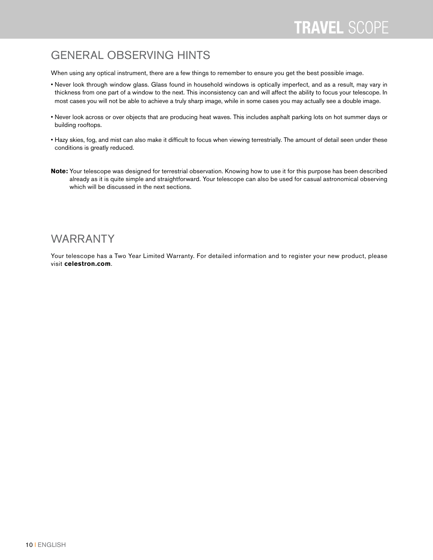### GENERAL OBSERVING HINTS

When using any optical instrument, there are a few things to remember to ensure you get the best possible image.

- Never look through window glass. Glass found in household windows is optically imperfect, and as a result, may vary in thickness from one part of a window to the next. This inconsistency can and will affect the ability to focus your telescope. In most cases you will not be able to achieve a truly sharp image, while in some cases you may actually see a double image.
- Never look across or over objects that are producing heat waves. This includes asphalt parking lots on hot summer days or building rooftops.
- Hazy skies, fog, and mist can also make it difficult to focus when viewing terrestrially. The amount of detail seen under these conditions is greatly reduced.
- **Note:** Your telescope was designed for terrestrial observation. Knowing how to use it for this purpose has been described already as it is quite simple and straightforward. Your telescope can also be used for casual astronomical observing which will be discussed in the next sections.

#### WARRANTY

Your telescope has a Two Year Limited Warranty. For detailed information and to register your new product, please visit **celestron.com**.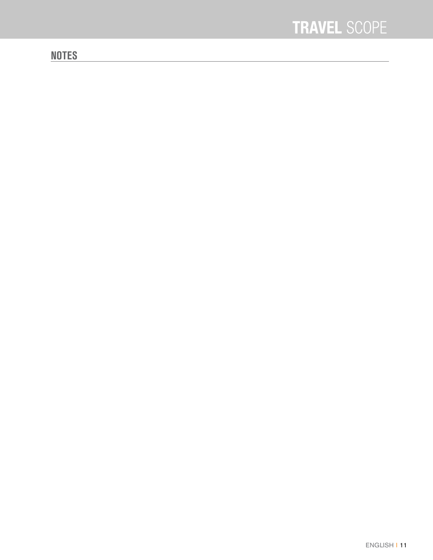#### **NOTES**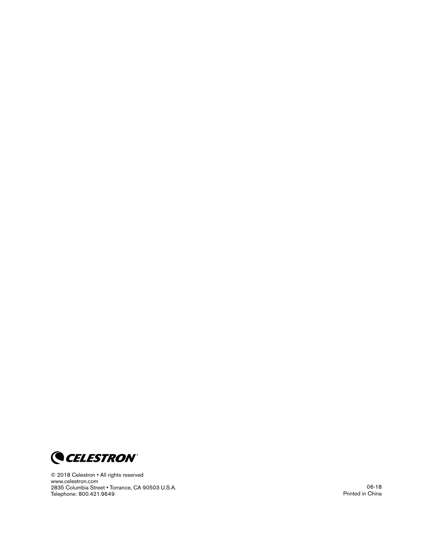

© 2018 Celestron • All rights reserved www .celestron .com 2835 Columbia Street . Torrance, CA 90503 U.S.A. Telephone: 800 .421 .9649

06-18 Printed in China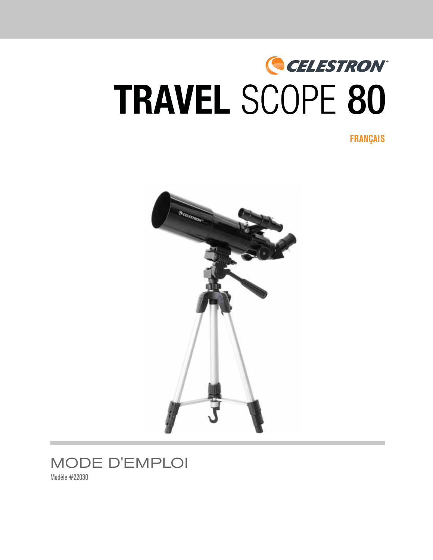# CELESTRON® **TRAVEL SCOPE 80**

**FRANÇAIS**





Modèle #22030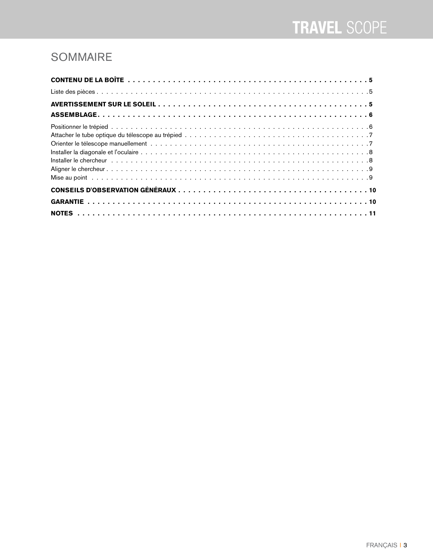# SOMMAIRE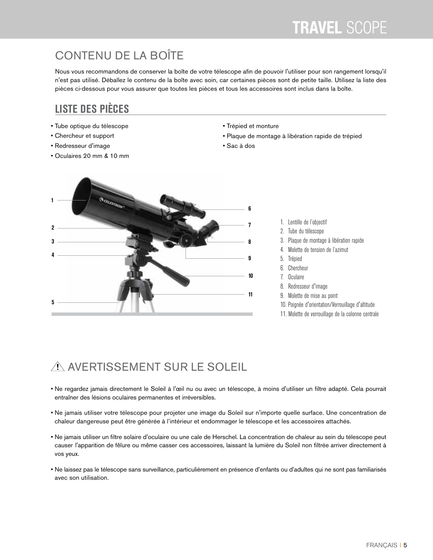# CONTENU DE LA BOÎTE

Nous vous recommandons de conserver la boîte de votre télescope afin de pouvoir l'utiliser pour son rangement lorsqu'il n'est pas utilisé. Déballez le contenu de la boîte avec soin, car certaines pièces sont de petite taille. Utilisez la liste des pièces ci-dessous pour vous assurer que toutes les pièces et tous les accessoires sont inclus dans la boîte.

#### **LISTE DES PIÈCES**

- Tube optique du télescope
- Chercheur et support
- Redresseur d'image
- Oculaires 20 mm & 10 mm
- Trépied et monture
- Plaque de montage à libération rapide de trépied
- Sac à dos



- 1. Lentille de l'objectif
- 2. Tube du télescope
- 3. Plaque de montage à libération rapide
- 4. Molette de tension de l'azimut
- 5. Trépied
- 6. Chercheur
- 7. Oculaire
- 8. Redresseur d'image
- 9. Molette de mise au point
- 10. Poignée d'orientation/Verrouillage d'altitude
- 11. Molette de verrouillage de la colonne centrale

# A AVERTISSEMENT SUR LE SOLEIL

- Ne regardez jamais directement le Soleil à l'œil nu ou avec un télescope, à moins d'utiliser un filtre adapté. Cela pourrait entraîner des lésions oculaires permanentes et irréversibles.
- Ne jamais utiliser votre télescope pour projeter une image du Soleil sur n'importe quelle surface. Une concentration de chaleur dangereuse peut être générée à l'intérieur et endommager le télescope et les accessoires attachés.
- Ne jamais utiliser un filtre solaire d'oculaire ou une cale de Herschel. La concentration de chaleur au sein du télescope peut causer l'apparition de fêlure ou même casser ces accessoires, laissant la lumière du Soleil non filtrée arriver directement à vos yeux.
- Ne laissez pas le télescope sans surveillance, particulièrement en présence d'enfants ou d'adultes qui ne sont pas familiarisés avec son utilisation.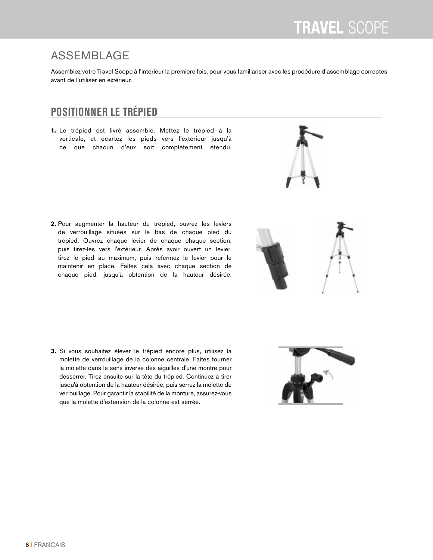# ASSEMBLAGE

Assemblez votre Travel Scope à l'intérieur la première fois, pour vous familiariser avec les procédure d'assemblage correctes avant de l'utiliser en extérieur.

# **POSITIONNER LE TRÉPIED**

**1.** Le trépied est livré assemblé. Mettez le trépied à la verticale, et écartez les pieds vers l'extérieur jusqu'à ce que chacun d'eux soit complètement étendu.

**2.**Pour augmenter la hauteur du trépied, ouvrez les leviers de verrouillage situées sur le bas de chaque pied du trépied. Ouvrez chaque levier de chaque chaque section, puis tirez-les vers l'extérieur. Après avoir ouvert un levier, tirez le pied au maximum, puis refermez le levier pour le maintenir en place. Faites cela avec chaque section de chaque pied, jusqu'à obtention de la hauteur désirée.





**3.** Si vous souhaitez élever le trépied encore plus, utilisez la molette de verrouillage de la colonne centrale. Faites tourner la molette dans le sens inverse des aiguilles d'une montre pour desserrer. Tirez ensuite sur la tête du trépied. Continuez à tirer jusqu'à obtention de la hauteur désirée, puis serrez la molette de verrouillage. Pour garantir la stabilité de la monture, assurez-vous que la molette d'extension de la colonne est serrée.

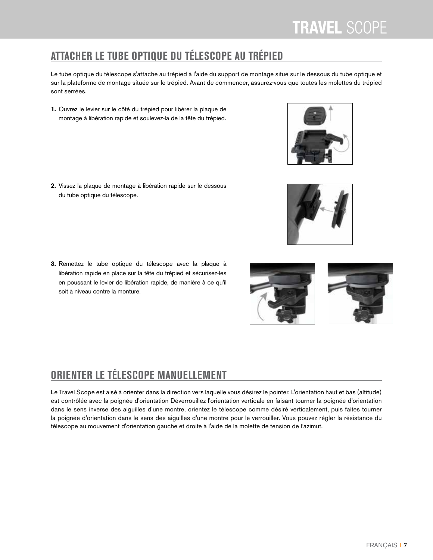# **ATTACHER LE TUBE OPTIQUE DU TÉLESCOPE AU TRÉPIED**

Le tube optique du télescope s'attache au trépied à l'aide du support de montage situé sur le dessous du tube optique et sur la plateforme de montage située sur le trépied. Avant de commencer, assurez-vous que toutes les molettes du trépied sont serrées.

**1.** Ouvrez le levier sur le côté du trépied pour libérer la plaque de montage à libération rapide et soulevez-la de la tête du trépied.

**2.**Vissez la plaque de montage à libération rapide sur le dessous du tube optique du télescope.

**3.**Remettez le tube optique du télescope avec la plaque à libération rapide en place sur la tête du trépied et sécurisez-les en poussant le levier de libération rapide, de manière à ce qu'il soit à niveau contre la monture.

# **ORIENTER LE TÉLESCOPE MANUELLEMENT**

Le Travel Scope est aisé à orienter dans la direction vers laquelle vous désirez le pointer. L'orientation haut et bas (altitude) est contrôlée avec la poignée d'orientation Déverrouillez l'orientation verticale en faisant tourner la poignée d'orientation dans le sens inverse des aiguilles d'une montre, orientez le télescope comme désiré verticalement, puis faites tourner la poignée d'orientation dans le sens des aiguilles d'une montre pour le verrouiller. Vous pouvez régler la résistance du télescope au mouvement d'orientation gauche et droite à l'aide de la molette de tension de l'azimut.





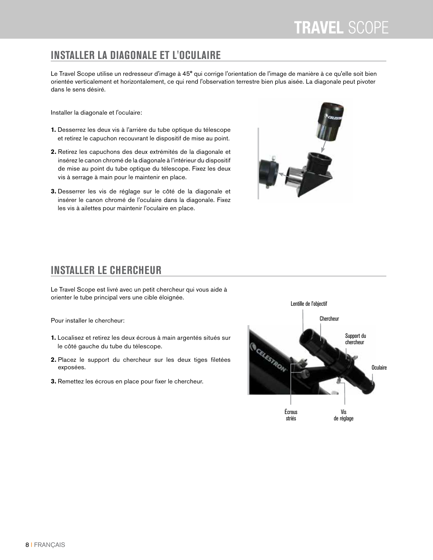#### **INSTALLER LA DIAGONALE ET L'OCULAIRE**

Le Travel Scope utilise un redresseur d'image à 45° qui corrige l'orientation de l'image de manière à ce qu'elle soit bien orientée verticalement et horizontalement, ce qui rend l'observation terrestre bien plus aisée. La diagonale peut pivoter dans le sens désiré.

Installer la diagonale et l'oculaire:

- **1.**Desserrez les deux vis à l'arrière du tube optique du télescope et retirez le capuchon recouvrant le dispositif de mise au point.
- **2.**Retirez les capuchons des deux extrémités de la diagonale et insérez le canon chromé de la diagonale à l'intérieur du dispositif de mise au point du tube optique du télescope. Fixez les deux vis à serrage à main pour le maintenir en place.
- **3.**Desserrer les vis de réglage sur le côté de la diagonale et insérer le canon chromé de l'oculaire dans la diagonale. Fixez les vis à ailettes pour maintenir l'oculaire en place.



#### **INSTALLER LE CHERCHEUR**

Le Travel Scope est livré avec un petit chercheur qui vous aide à orienter le tube principal vers une cible éloignée.

Pour installer le chercheur:

- **1.**Localisez et retirez les deux écrous à main argentés situés sur le côté gauche du tube du télescope.
- **2.**Placez le support du chercheur sur les deux tiges filetées exposées.
- **3.**Remettez les écrous en place pour fixer le chercheur.

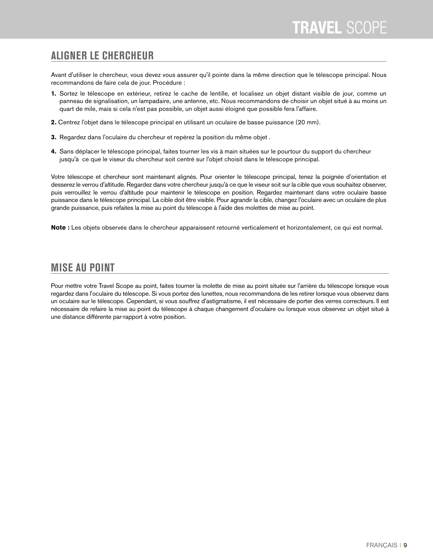#### **ALIGNER LE CHERCHEUR**

Avant d'utiliser le chercheur, vous devez vous assurer qu'il pointe dans la même direction que le télescope principal. Nous recommandons de faire cela de jour. Procédure :

- **1.** Sortez le télescope en extérieur, retirez le cache de lentille, et localisez un objet distant visible de jour, comme un panneau de signalisation, un lampadaire, une antenne, etc. Nous recommandons de choisir un objet situé à au moins un quart de mile, mais si cela n'est pas possible, un objet aussi éloigné que possible fera l'affaire.
- **2.**Centrez l'objet dans le télescope principal en utilisant un oculaire de basse puissance (20 mm).
- **3.** Regardez dans l'oculaire du chercheur et repérez la position du même objet .
- **4.** Sans déplacer le télescope principal, faites tourner les vis à main situées sur le pourtour du support du chercheur jusqu'à ce que le viseur du chercheur soit centré sur l'objet choisit dans le télescope principal.

Votre télescope et chercheur sont maintenant alignés. Pour orienter le télescope principal, tenez la poignée d'orientation et desserez le verrou d'altitude. Regardez dans votre chercheur jusqu'à ce que le viseur soit sur la cible que vous souhaitez observer, puis verrouillez le verrou d'altitude pour maintenir le télescope en position. Regardez maintenant dans votre oculaire basse puissance dans le télescope principal. La cible doit être visible. Pour agrandir la cible, changez l'oculaire avec un oculaire de plus grande puissance, puis refaites la mise au point du télescope à l'aide des molettes de mise au point.

**Note :** Les objets observés dans le chercheur apparaissent retourné verticalement et horizontalement, ce qui est normal.

#### **MISE AU POINT**

Pour mettre votre Travel Scope au point, faites tourner la molette de mise au point située sur l'arrière du télescope lorsque vous regardez dans l'oculaire du télescope. Si vous portez des lunettes, nous recommandons de les retirer lorsque vous observez dans un oculaire sur le télescope. Cependant, si vous souffrez d'astigmatisme, il est nécessaire de porter des verres correcteurs. Il est nécessaire de refaire la mise au point du télescope à chaque changement d'oculaire ou lorsque vous observez un objet situé à une distance différente par-rapport à votre position.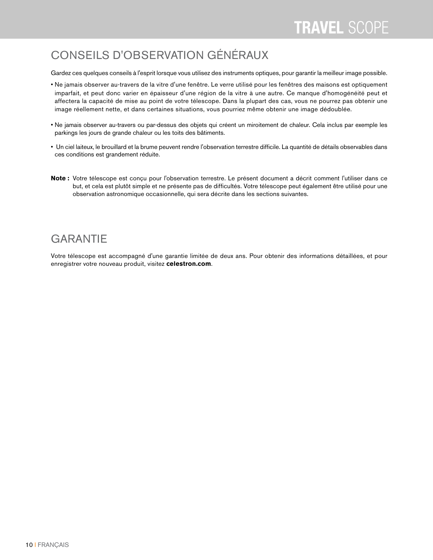### CONSEILS D'OBSERVATION GÉNÉRAUX

Gardez ces quelques conseils à l'esprit lorsque vous utilisez des instruments optiques, pour garantir la meilleur image possible.

- Ne jamais observer au-travers de la vitre d'une fenêtre. Le verre utilisé pour les fenêtres des maisons est optiquement imparfait, et peut donc varier en épaisseur d'une région de la vitre à une autre. Ce manque d'homogénéité peut et affectera la capacité de mise au point de votre télescope. Dans la plupart des cas, vous ne pourrez pas obtenir une image réellement nette, et dans certaines situations, vous pourriez même obtenir une image dédoublée.
- Ne jamais observer au-travers ou par-dessus des objets qui créent un miroitement de chaleur. Cela inclus par exemple les parkings les jours de grande chaleur ou les toits des bâtiments.
- Un ciel laiteux, le brouillard et la brume peuvent rendre l'observation terrestre difficile. La quantité de détails observables dans ces conditions est grandement réduite.
- **Note :** Votre télescope est conçu pour l'observation terrestre. Le présent document a décrit comment l'utiliser dans ce but, et cela est plutôt simple et ne présente pas de difficultés. Votre télescope peut également être utilisé pour une observation astronomique occasionnelle, qui sera décrite dans les sections suivantes.

### **GARANTIE**

Votre télescope est accompagné d'une garantie limitée de deux ans. Pour obtenir des informations détaillées, et pour enregistrer votre nouveau produit, visitez **celestron.com**.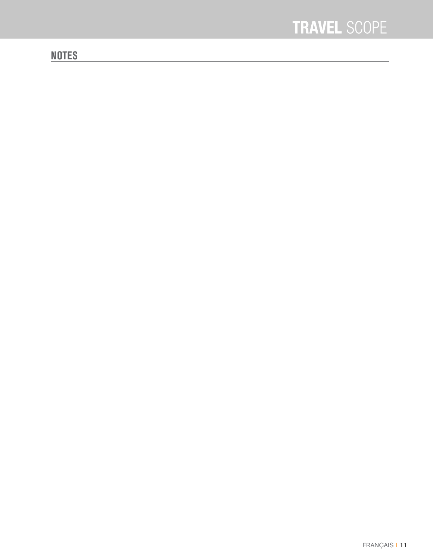### **NOTES**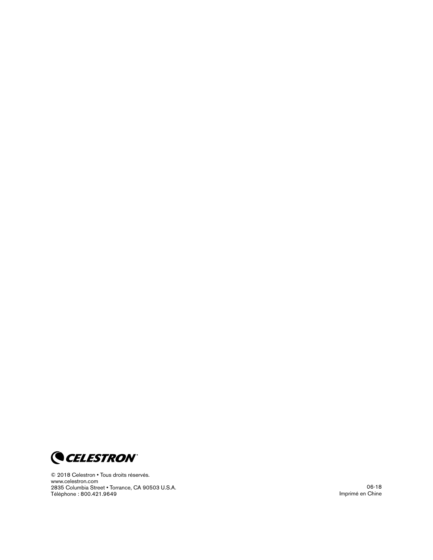

© 2018 Celestron • Tous droits réservés . www .celestron .com 2835 Columbia Street . Torrance, CA 90503 U.S.A. Téléphone : 800 .421 .9649

06-18 Imprimé en Chine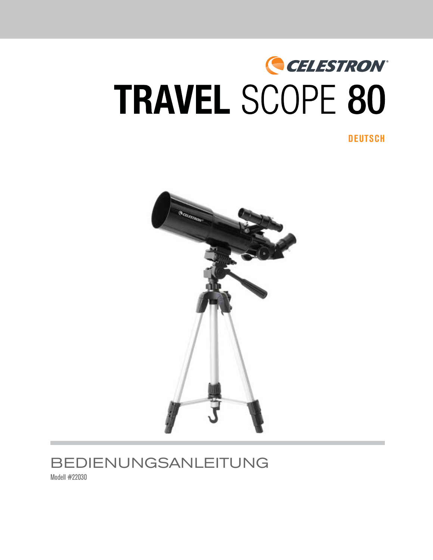# CELESTRON® **TRAVEL SCOPE 80**

**DEUTSCH**



# BEDIENUNGSANLEITUNG

Modell #22030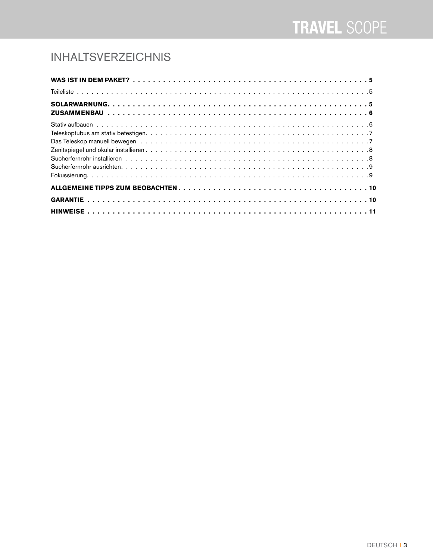## INHALTSVERZEICHNIS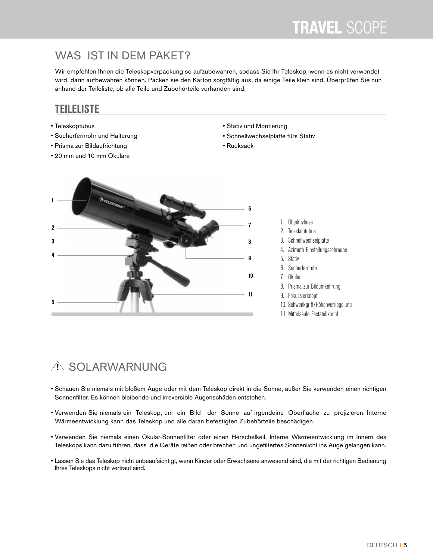### WAS IST IN DEM PAKET?

Wir empfehlen Ihnen die Teleskopverpackung so aufzubewahren, sodass Sie Ihr Teleskop, wenn es nicht verwendet wird, darin aufbewahren können. Packen sie den Karton sorgfältig aus, da einige Teile klein sind. Überprüfen Sie nun anhand der Teileliste, ob alle Teile und Zubehörteile vorhanden sind.

#### **TEILELISTE**

- Teleskoptubus
- Sucherfernrohr und Halterung
- Prisma zur Bildaufrichtung
- 20 mm und 10 mm Okulare
- Stativ und Montierung
- Schnellwechselplatte fürs Stativ
- Rucksack



1. Objektivlinse 2. Teleskoptubus 3. Schnellwechselplatte 4. Azimuth-Einstellungsschraube 5. Stativ 6. Sucherfernrohr 7. Okular 8. Prisma zur Bildumkehrung 9. Fokussierknopf 10. Schwenkgriff/Höhenverriegelung 11. Mittelsäule-Feststellknopf

# A SOLARWARNUNG

- Schauen Sie niemals mit bloßem Auge oder mit dem Teleskop direkt in die Sonne, außer Sie verwenden einen richtigen Sonnenfilter. Es können bleibende und irreversible Augenschäden entstehen.
- Verwenden Sie niemals ein Teleskop, um ein Bild der Sonne auf irgendeine Oberfläche zu projizieren. Interne Wärmeentwicklung kann das Teleskop und alle daran befestigten Zubehörteile beschädigen.
- Verwenden Sie niemals einen Okular-Sonnenfilter oder einen Herschelkeil. Interne Wärmeentwicklung im Innern des Teleskops kann dazu führen, dass die Geräte reißen oder brechen und ungefiltertes Sonnenlicht ins Auge gelangen kann.
- Lassen Sie das Teleskop nicht unbeaufsichtigt, wenn Kinder oder Erwachsene anwesend sind, die mit der richtigen Bedienung Ihres Teleskops nicht vertraut sind.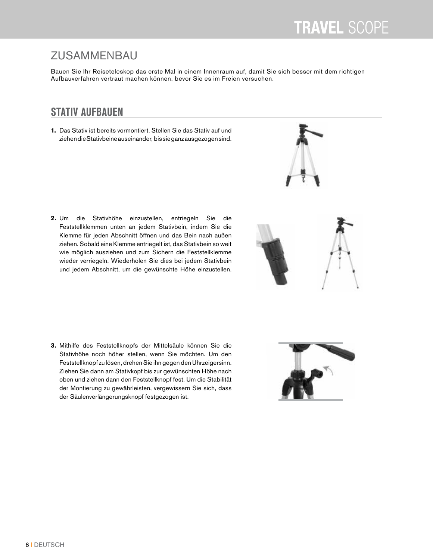# ZUSAMMENBAU

Bauen Sie Ihr Reiseteleskop das erste Mal in einem Innenraum auf, damit Sie sich besser mit dem richtigen Aufbauverfahren vertraut machen können, bevor Sie es im Freien versuchen.

#### **STATIV AUFBAUEN**

**1.** Das Stativ ist bereits vormontiert. Stellen Sie das Stativ auf und ziehen die Stativbeine auseinander, bis sie ganz ausgezogen sind.

**2.** Um die Stativhöhe einzustellen, entriegeln Sie die Feststellklemmen unten an jedem Stativbein, indem Sie die Klemme für jeden Abschnitt öffnen und das Bein nach außen ziehen. Sobald eine Klemme entriegelt ist, das Stativbein so weit wie möglich ausziehen und zum Sichern die Feststellklemme wieder verriegeln. Wiederholen Sie dies bei jedem Stativbein und jedem Abschnitt, um die gewünschte Höhe einzustellen.





**3.** Mithilfe des Feststellknopfs der Mittelsäule können Sie die Stativhöhe noch höher stellen, wenn Sie möchten. Um den Feststellknopf zu lösen, drehen Sie ihn gegen den Uhrzeigersinn. Ziehen Sie dann am Stativkopf bis zur gewünschten Höhe nach oben und ziehen dann den Feststellknopf fest. Um die Stabilität der Montierung zu gewährleisten, vergewissern Sie sich, dass der Säulenverlängerungsknopf festgezogen ist.

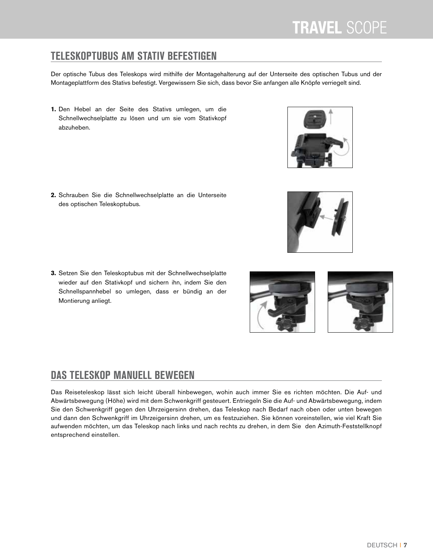### **TELESKOPTUBUS AM STATIV BEFESTIGEN**

Der optische Tubus des Teleskops wird mithilfe der Montagehalterung auf der Unterseite des optischen Tubus und der Montageplattform des Stativs befestigt. Vergewissern Sie sich, dass bevor Sie anfangen alle Knöpfe verriegelt sind.

**1.** Den Hebel an der Seite des Stativs umlegen, um die Schnellwechselplatte zu lösen und um sie vom Stativkopf abzuheben.

**2.**Schrauben Sie die Schnellwechselplatte an die Unterseite des optischen Teleskoptubus.

**3.**Setzen Sie den Teleskoptubus mit der Schnellwechselplatte wieder auf den Stativkopf und sichern ihn, indem Sie den Schnellspannhebel so umlegen, dass er bündig an der Montierung anliegt.

#### **DAS TELESKOP MANUELL BEWEGEN**

Das Reiseteleskop lässt sich leicht überall hinbewegen, wohin auch immer Sie es richten möchten. Die Auf- und Abwärtsbewegung (Höhe) wird mit dem Schwenkgriff gesteuert. Entriegeln Sie die Auf- und Abwärtsbewegung, indem Sie den Schwenkgriff gegen den Uhrzeigersinn drehen, das Teleskop nach Bedarf nach oben oder unten bewegen und dann den Schwenkgriff im Uhrzeigersinn drehen, um es festzuziehen. Sie können voreinstellen, wie viel Kraft Sie aufwenden möchten, um das Teleskop nach links und nach rechts zu drehen, in dem Sie den Azimuth-Feststellknopf entsprechend einstellen.





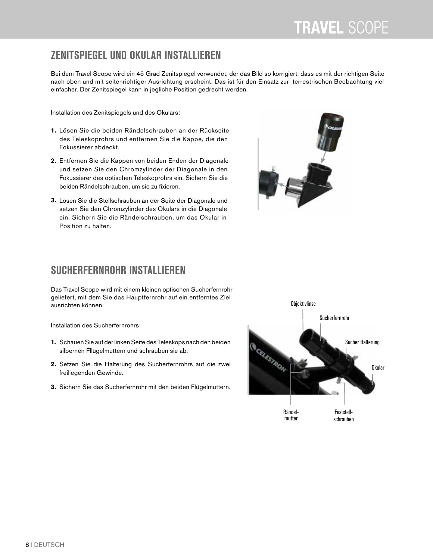#### **ZENITSPIEGEL UND OKULAR INSTALLIEREN**

Bei dem Travel Scope wird ein 45 Grad Zenitspiegel verwendet, der das Bild so korrigiert, dass es mit der richtigen Seite nach oben und mit seitenrichtiger Ausrichtung erscheint. Das ist für den Einsatz zur terrestrischen Beobachtung viel einfacher. Der Zenitspiegel kann in jegliche Position gedrecht werden.

Installation des Zenitspiegels und des Okulars:

- **1.** Lösen Sie die beiden Rändelschrauben an der Rückseite des Teleskoprohrs und entfernen Sie die Kappe, die den Fokussierer abdeckt.
- **2.** Entfernen Sie die Kappen von beiden Enden der Diagonale und setzen Sie den Chromzylinder der Diagonale in den Fokussierer des optischen Teleskoprohrs ein. Sichern Sie die beiden Rändelschrauben, um sie zu fixieren.
- **3.** Lösen Sie die Stellschrauben an der Seite der Diagonale und setzen Sie den Chromzylinder des Okulars in die Diagonale ein. Sichern Sie die Rändelschrauben, um das Okular in Position zu halten.



#### **SUCHERFERNROHR INSTALLIEREN**

Das Travel Scope wird mit einem kleinen optischen Sucherfernrohr geliefert, mit dem Sie das Hauptfernrohr auf ein entferntes Ziel ausrichten können.

Installation des Sucherfernrohrs:

- **1.** Schauen Sie auf der linken Seite des Teleskops nach den beiden silbernen Fllügelmuttern und schrauben sie ab.
- **2.** Setzen Sie die Halterung des Sucherfernrohrs auf die zwei freiliegenden Gewinde.
- **3.**Sichern Sie das Sucherfernrohr mit den beiden Flügelmuttern.

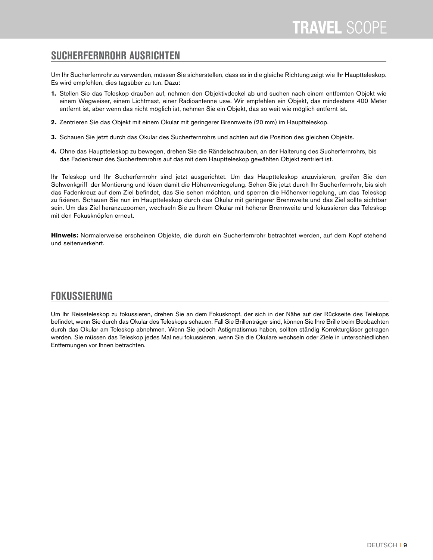#### **SUCHERFERNROHR AUSRICHTEN**

Um Ihr Sucherfernrohr zu verwenden, müssen Sie sicherstellen, dass es in die gleiche Richtung zeigt wie Ihr Hauptteleskop. Es wird empfohlen, dies tagsüber zu tun. Dazu:

- **1.** Stellen Sie das Teleskop draußen auf, nehmen den Objektivdeckel ab und suchen nach einem entfernten Objekt wie einem Wegweiser, einem Lichtmast, einer Radioantenne usw. Wir empfehlen ein Objekt, das mindestens 400 Meter entfernt ist, aber wenn das nicht möglich ist, nehmen Sie ein Objekt, das so weit wie möglich entfernt ist.
- **2.** Zentrieren Sie das Objekt mit einem Okular mit geringerer Brennweite (20 mm) im Hauptteleskop.
- **3.** Schauen Sie jetzt durch das Okular des Sucherfernrohrs und achten auf die Position des gleichen Objekts.
- **4.** Ohne das Hauptteleskop zu bewegen, drehen Sie die Rändelschrauben, an der Halterung des Sucherfernrohrs, bis das Fadenkreuz des Sucherfernrohrs auf das mit dem Hauptteleskop gewählten Objekt zentriert ist.

Ihr Teleskop und Ihr Sucherfernrohr sind jetzt ausgerichtet. Um das Hauptteleskop anzuvisieren, greifen Sie den Schwenkgriff der Montierung und lösen damit die Höhenverriegelung. Sehen Sie jetzt durch Ihr Sucherfernrohr, bis sich das Fadenkreuz auf dem Ziel befindet, das Sie sehen möchten, und sperren die Höhenverriegelung, um das Teleskop zu fixieren. Schauen Sie nun im Hauptteleskop durch das Okular mit geringerer Brennweite und das Ziel sollte sichtbar sein. Um das Ziel heranzuzoomen, wechseln Sie zu Ihrem Okular mit höherer Brennweite und fokussieren das Teleskop mit den Fokusknöpfen erneut.

**Hinweis:** Normalerweise erscheinen Objekte, die durch ein Sucherfernrohr betrachtet werden, auf dem Kopf stehend und seitenverkehrt.

#### **FOKUSSIERUNG**

Um Ihr Reiseteleskop zu fokussieren, drehen Sie an dem Fokusknopf, der sich in der Nähe auf der Rückseite des Telekops befindet, wenn Sie durch das Okular des Teleskops schauen. Fall Sie Brillenträger sind, können Sie Ihre Brille beim Beobachten durch das Okular am Teleskop abnehmen. Wenn Sie jedoch Astigmatismus haben, sollten ständig Korrekturgläser getragen werden. Sie müssen das Teleskop jedes Mal neu fokussieren, wenn Sie die Okulare wechseln oder Ziele in unterschiedlichen Entfernungen vor Ihnen betrachten.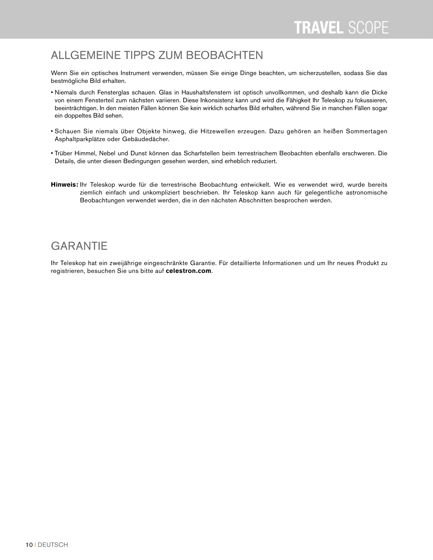#### ALLGEMEINE TIPPS ZUM BEOBACHTEN

Wenn Sie ein optisches Instrument verwenden, müssen Sie einige Dinge beachten, um sicherzustellen, sodass Sie das bestmögliche Bild erhalten.

- Niemals durch Fensterglas schauen. Glas in Haushaltsfenstern ist optisch unvollkommen, und deshalb kann die Dicke von einem Fensterteil zum nächsten variieren. Diese Inkonsistenz kann und wird die Fähigkeit Ihr Teleskop zu fokussieren, beeinträchtigen. In den meisten Fällen können Sie kein wirklich scharfes Bild erhalten, während Sie in manchen Fällen sogar ein doppeltes Bild sehen.
- Schauen Sie niemals über Objekte hinweg, die Hitzewellen erzeugen. Dazu gehören an heißen Sommertagen Asphaltparkplätze oder Gebäudedächer.
- Trüber Himmel, Nebel und Dunst können das Scharfstellen beim terrestrischem Beobachten ebenfalls erschweren. Die Details, die unter diesen Bedingungen gesehen werden, sind erheblich reduziert.
- **Hinweis:** Ihr Teleskop wurde für die terrestrische Beobachtung entwickelt. Wie es verwendet wird, wurde bereits ziemlich einfach und unkompliziert beschrieben. Ihr Teleskop kann auch für gelegentliche astronomische Beobachtungen verwendet werden, die in den nächsten Abschnitten besprochen werden.

#### **GARANTIE**

Ihr Teleskop hat ein zweijährige eingeschränkte Garantie. Für detaillierte Informationen und um Ihr neues Produkt zu registrieren, besuchen Sie uns bitte auf **celestron.com**.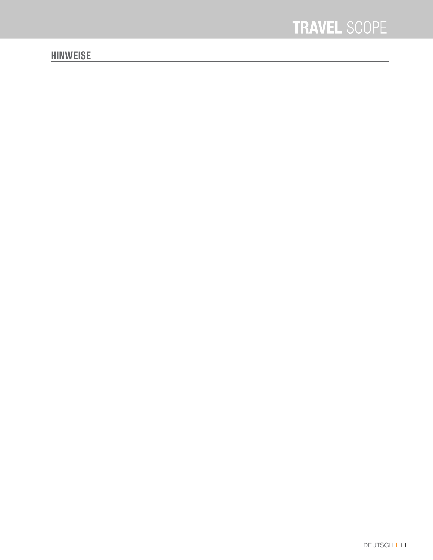#### **HINWEISE**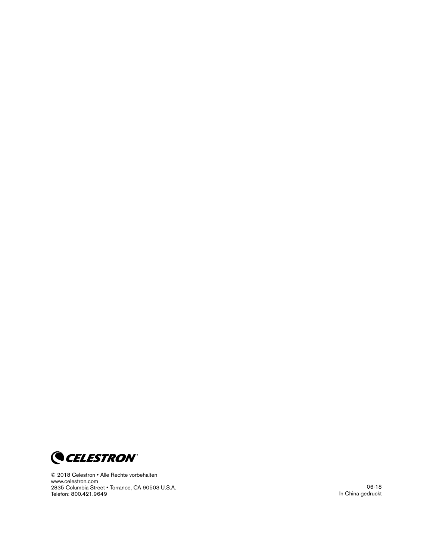

© 2018 Celestron • Alle Rechte vorbehalten www .celestron .com 2835 Columbia Street . Torrance, CA 90503 U.S.A. Telefon: 800 .421 .9649

06-18 In China gedruckt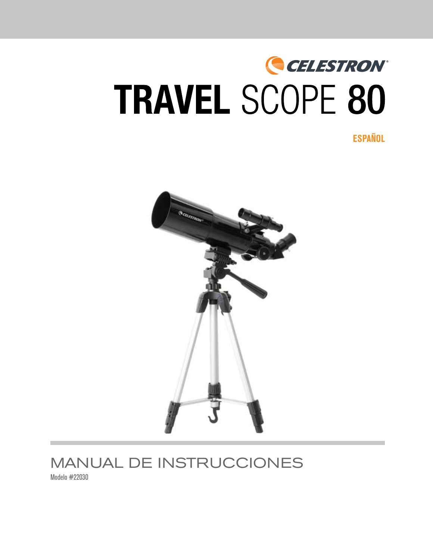# CELESTRON® **TRAVEL SCOPE 80**

**ESPAÑOL**



# MANUAL DE INSTRUCCIONES

Modelo #22030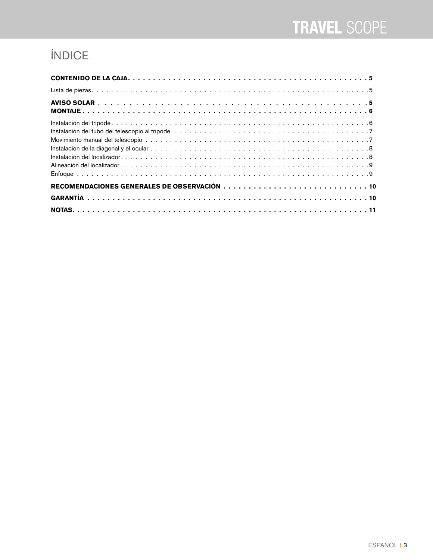# ÍNDICE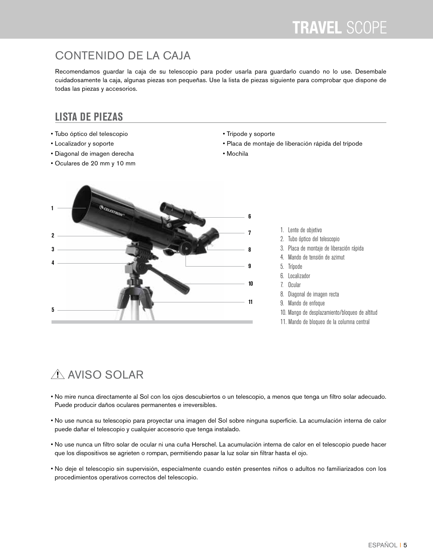### CONTENIDO DE LA CAJA

Recomendamos guardar la caja de su telescopio para poder usarla para guardarlo cuando no lo use. Desembale cuidadosamente la caja, algunas piezas son pequeñas. Use la lista de piezas siguiente para comprobar que dispone de todas las piezas y accesorios.

#### **LISTA DE PIEZAS**

- Tubo óptico del telescopio
- Localizador y soporte
- Diagonal de imagen derecha
- Oculares de 20 mm y 10 mm
- Trípode y soporte
- Placa de montaje de liberación rápida del trípode
- Mochila



- 1. Lente de objetivo
- 2. Tubo óptico del telescopio
- 3. Placa de montaje de liberación rápida
- 4. Mando de tensión de azimut
- 5. Trípode
- 6. Localizador
- 7. Ocular
- 8. Diagonal de imagen recta
- 9. Mando de enfoque
- 10. Mango de desplazamiento/bloqueo de altitud
- 11. Mando de bloqueo de la columna central

# A AVISO SOLAR

- No mire nunca directamente al Sol con los ojos descubiertos o un telescopio, a menos que tenga un filtro solar adecuado. Puede producir daños oculares permanentes e irreversibles.
- No use nunca su telescopio para proyectar una imagen del Sol sobre ninguna superficie. La acumulación interna de calor puede dañar el telescopio y cualquier accesorio que tenga instalado.
- No use nunca un filtro solar de ocular ni una cuña Herschel. La acumulación interna de calor en el telescopio puede hacer que los dispositivos se agrieten o rompan, permitiendo pasar la luz solar sin filtrar hasta el ojo.
- No deje el telescopio sin supervisión, especialmente cuando estén presentes niños o adultos no familiarizados con los procedimientos operativos correctos del telescopio.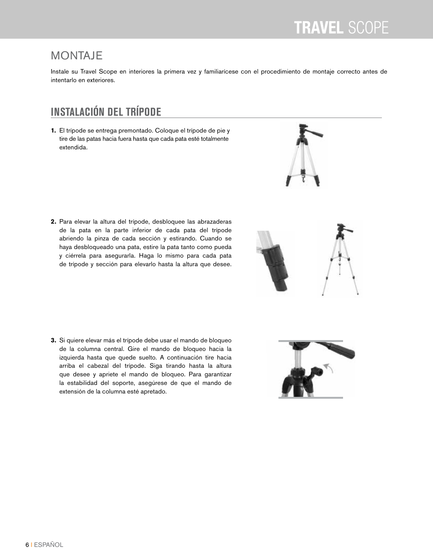#### MONTAJE

Instale su Travel Scope en interiores la primera vez y familiarícese con el procedimiento de montaje correcto antes de intentarlo en exteriores.

### **INSTALACIÓN DEL TRÍPODE**

**1.** El trípode se entrega premontado. Coloque el trípode de pie y tire de las patas hacia fuera hasta que cada pata esté totalmente extendida.

- **2.** Para elevar la altura del trípode, desbloquee las abrazaderas de la pata en la parte inferior de cada pata del trípode abriendo la pinza de cada sección y estirando. Cuando se haya desbloqueado una pata, estire la pata tanto como pueda y ciérrela para asegurarla. Haga lo mismo para cada pata de trípode y sección para elevarlo hasta la altura que desee.
- 



**3.** Si quiere elevar más el trípode debe usar el mando de bloqueo de la columna central. Gire el mando de bloqueo hacia la izquierda hasta que quede suelto. A continuación tire hacia arriba el cabezal del trípode. Siga tirando hasta la altura que desee y apriete el mando de bloqueo. Para garantizar la estabilidad del soporte, asegúrese de que el mando de extensión de la columna esté apretado.

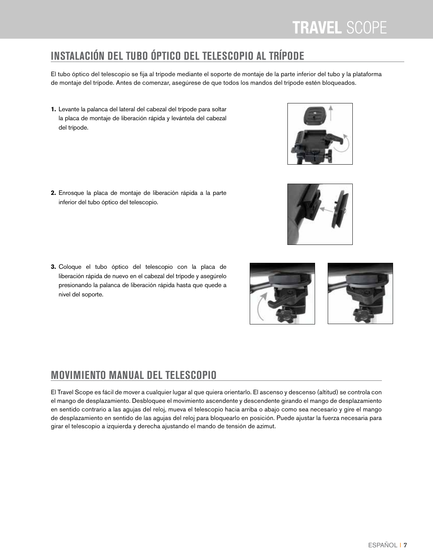# **INSTALACIÓN DEL TUBO ÓPTICO DEL TELESCOPIO AL TRÍPODE**

El tubo óptico del telescopio se fija al trípode mediante el soporte de montaje de la parte inferior del tubo y la plataforma de montaje del trípode. Antes de comenzar, asegúrese de que todos los mandos del trípode estén bloqueados.

**1.** Levante la palanca del lateral del cabezal del trípode para soltar la placa de montaje de liberación rápida y levántela del cabezal del trípode.

**2.**Enrosque la placa de montaje de liberación rápida a la parte inferior del tubo óptico del telescopio.

**3.**Coloque el tubo óptico del telescopio con la placa de liberación rápida de nuevo en el cabezal del trípode y asegúrelo presionando la palanca de liberación rápida hasta que quede a nivel del soporte.

### **MOVIMIENTO MANUAL DEL TELESCOPIO**

El Travel Scope es fácil de mover a cualquier lugar al que quiera orientarlo. El ascenso y descenso (altitud) se controla con el mango de desplazamiento. Desbloquee el movimiento ascendente y descendente girando el mango de desplazamiento en sentido contrario a las agujas del reloj, mueva el telescopio hacia arriba o abajo como sea necesario y gire el mango de desplazamiento en sentido de las agujas del reloj para bloquearlo en posición. Puede ajustar la fuerza necesaria para girar el telescopio a izquierda y derecha ajustando el mando de tensión de azimut.



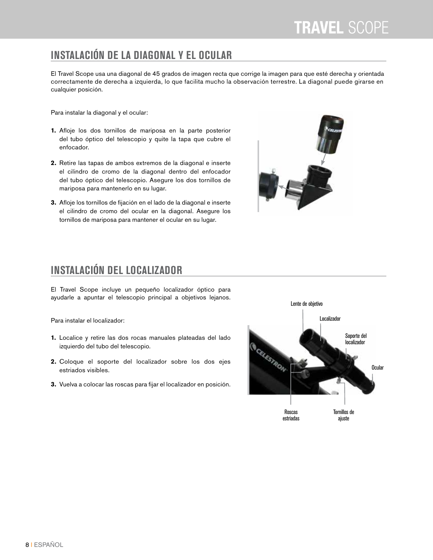### **INSTALACIÓN DE LA DIAGONAL Y EL OCULAR**

El Travel Scope usa una diagonal de 45 grados de imagen recta que corrige la imagen para que esté derecha y orientada correctamente de derecha a izquierda, lo que facilita mucho la observación terrestre. La diagonal puede girarse en cualquier posición.

Para instalar la diagonal y el ocular:

- **1.** Afloje los dos tornillos de mariposa en la parte posterior del tubo óptico del telescopio y quite la tapa que cubre el enfocador.
- **2.** Retire las tapas de ambos extremos de la diagonal e inserte el cilindro de cromo de la diagonal dentro del enfocador del tubo óptico del telescopio. Asegure los dos tornillos de mariposa para mantenerlo en su lugar.
- **3.** Afloje los tornillos de fijación en el lado de la diagonal e inserte el cilindro de cromo del ocular en la diagonal. Asegure los tornillos de mariposa para mantener el ocular en su lugar.



### **INSTALACIÓN DEL LOCALIZADOR**

El Travel Scope incluye un pequeño localizador óptico para ayudarle a apuntar el telescopio principal a objetivos lejanos.

Para instalar el localizador:

- **1.** Localice y retire las dos rocas manuales plateadas del lado izquierdo del tubo del telescopio.
- **2.** Coloque el soporte del localizador sobre los dos ejes estriados visibles.
- **3.** Vuelva a colocar las roscas para fijar el localizador en posición.

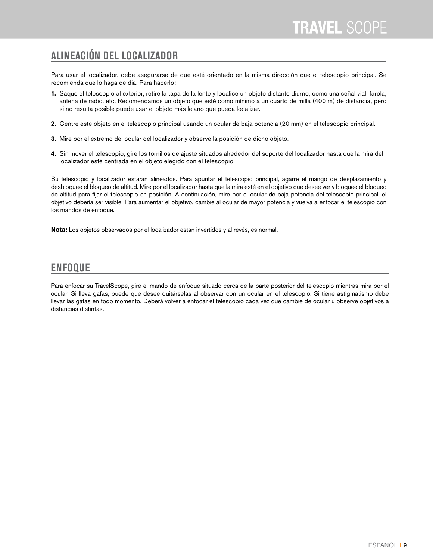### **ALINEACIÓN DEL LOCALIZADOR**

Para usar el localizador, debe asegurarse de que esté orientado en la misma dirección que el telescopio principal. Se recomienda que lo haga de día. Para hacerlo:

- **1.** Saque el telescopio al exterior, retire la tapa de la lente y localice un objeto distante diurno, como una señal vial, farola, antena de radio, etc. Recomendamos un objeto que esté como mínimo a un cuarto de milla (400 m) de distancia, pero si no resulta posible puede usar el objeto más lejano que pueda localizar.
- **2.** Centre este objeto en el telescopio principal usando un ocular de baja potencia (20 mm) en el telescopio principal.
- **3.** Mire por el extremo del ocular del localizador y observe la posición de dicho objeto.
- **4.** Sin mover el telescopio, gire los tornillos de ajuste situados alrededor del soporte del localizador hasta que la mira del localizador esté centrada en el objeto elegido con el telescopio.

Su telescopio y localizador estarán alineados. Para apuntar el telescopio principal, agarre el mango de desplazamiento y desbloquee el bloqueo de altitud. Mire por el localizador hasta que la mira esté en el objetivo que desee ver y bloquee el bloqueo de altitud para fijar el telescopio en posición. A continuación, mire por el ocular de baja potencia del telescopio principal, el objetivo debería ser visible. Para aumentar el objetivo, cambie al ocular de mayor potencia y vuelva a enfocar el telescopio con los mandos de enfoque.

**Nota:** Los objetos observados por el localizador están invertidos y al revés, es normal.

#### **ENFOQUE**

Para enfocar su TravelScope, gire el mando de enfoque situado cerca de la parte posterior del telescopio mientras mira por el ocular. Si lleva gafas, puede que desee quitárselas al observar con un ocular en el telescopio. Si tiene astigmatismo debe llevar las gafas en todo momento. Deberá volver a enfocar el telescopio cada vez que cambie de ocular u observe objetivos a distancias distintas.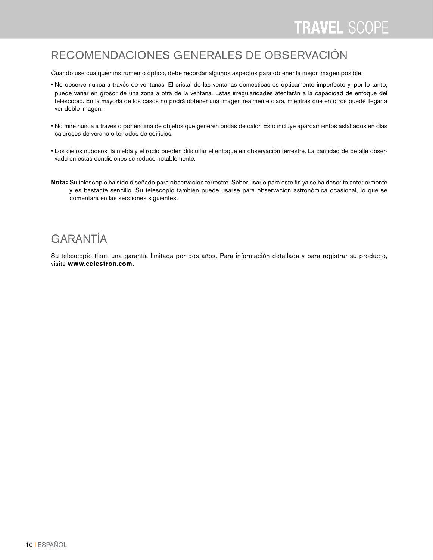#### RECOMENDACIONES GENERALES DE OBSERVACIÓN

Cuando use cualquier instrumento óptico, debe recordar algunos aspectos para obtener la mejor imagen posible.

- No observe nunca a través de ventanas. El cristal de las ventanas domésticas es ópticamente imperfecto y, por lo tanto, puede variar en grosor de una zona a otra de la ventana. Estas irregularidades afectarán a la capacidad de enfoque del telescopio. En la mayoría de los casos no podrá obtener una imagen realmente clara, mientras que en otros puede llegar a ver doble imagen.
- No mire nunca a través o por encima de objetos que generen ondas de calor. Esto incluye aparcamientos asfaltados en días calurosos de verano o terrados de edificios.
- Los cielos nubosos, la niebla y el rocío pueden dificultar el enfoque en observación terrestre. La cantidad de detalle observado en estas condiciones se reduce notablemente.
- **Nota:** Su telescopio ha sido diseñado para observación terrestre. Saber usarlo para este fin ya se ha descrito anteriormente y es bastante sencillo. Su telescopio también puede usarse para observación astronómica ocasional, lo que se comentará en las secciones siguientes.

#### GARANTÍA

Su telescopio tiene una garantía limitada por dos años. Para información detallada y para registrar su producto, visite **www.celestron.com.**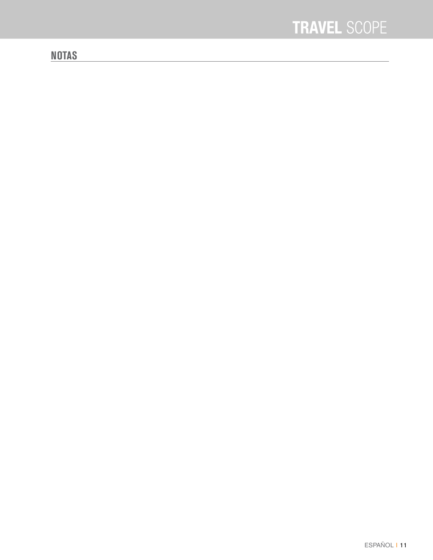#### **NOTAS**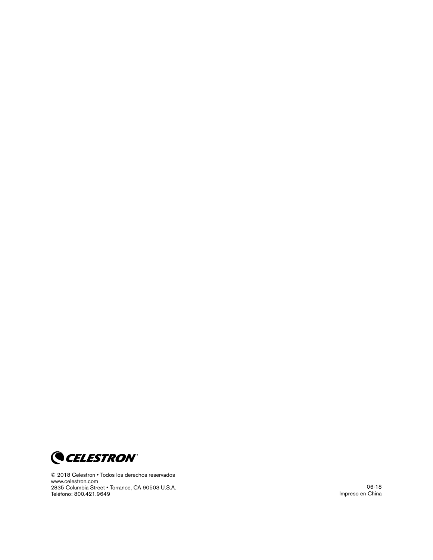

© 2018 Celestron • Todos los derechos reservados www .celestron .com 2835 Columbia Street . Torrance, CA 90503 U.S.A. Teléfono: 800 .421 .9649

06-18 Impreso en China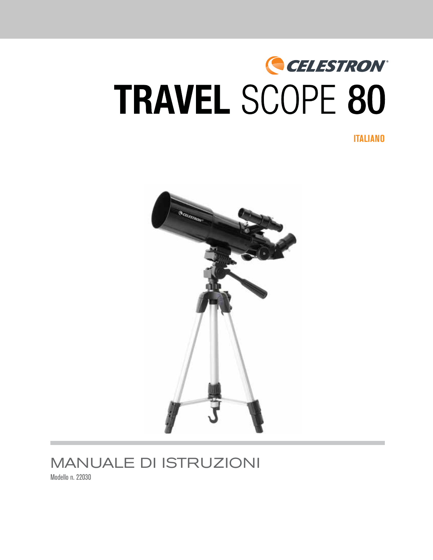# CELESTRON® **TRAVEL SCOPE 80**

**ITALIANO** 



# **MANUALE DI ISTRUZIONI**

Modello n. 22030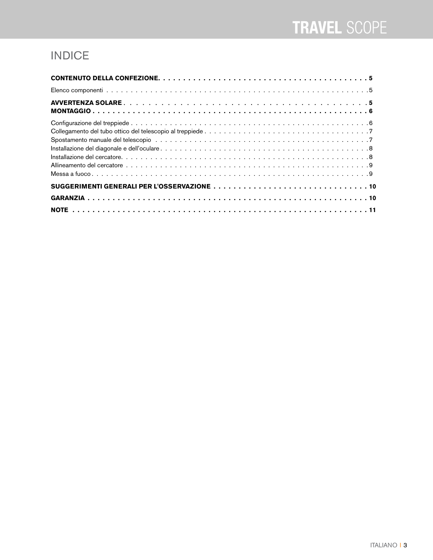# INDICE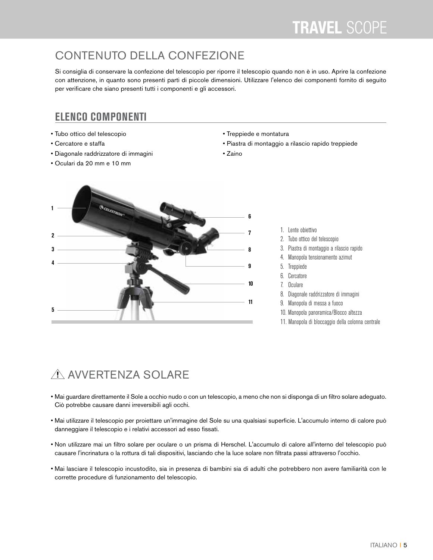# CONTENUTO DELLA CONFEZIONE

Si consiglia di conservare la confezione del telescopio per riporre il telescopio quando non è in uso. Aprire la confezione con attenzione, in quanto sono presenti parti di piccole dimensioni. Utilizzare l'elenco dei componenti fornito di seguito per verificare che siano presenti tutti i componenti e gli accessori.

#### **ELENCO COMPONENTI**

- Tubo ottico del telescopio
- Cercatore e staffa
- Diagonale raddrizzatore di immagini
- Oculari da 20 mm e 10 mm
- Treppiede e montatura
- Piastra di montaggio a rilascio rapido treppiede
- Zaino



- 1. Lente obiettivo
- 2. Tubo ottico del telescopio
- 3. Piastra di montaggio a rilascio rapido
- 4. Manopola tensionamento azimut
- 5. Treppiede
- 6. Cercatore
- 7. Oculare
- 8. Diagonale raddrizzatore di immagini
- 9. Manopola di messa a fuoco
- 10. Manopola panoramica/Blocco altezza
- 11. Manopola di bloccaggio della colonna centrale

# A AVVERTENZA SOLARE

- Mai guardare direttamente il Sole a occhio nudo o con un telescopio, a meno che non si disponga di un filtro solare adeguato. Ciò potrebbe causare danni irreversibili agli occhi.
- Mai utilizzare il telescopio per proiettare un'immagine del Sole su una qualsiasi superficie. L'accumulo interno di calore può danneggiare il telescopio e i relativi accessori ad esso fissati.
- Non utilizzare mai un filtro solare per oculare o un prisma di Herschel. L'accumulo di calore all'interno del telescopio può causare l'incrinatura o la rottura di tali dispositivi, lasciando che la luce solare non filtrata passi attraverso l'occhio.
- Mai lasciare il telescopio incustodito, sia in presenza di bambini sia di adulti che potrebbero non avere familiarità con le corrette procedure di funzionamento del telescopio.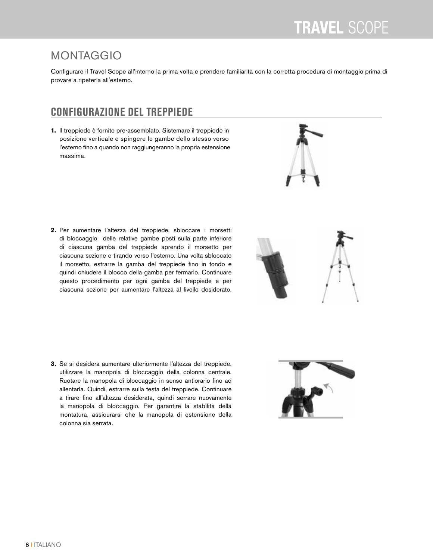# MONTAGGIO

Configurare il Travel Scope all'interno la prima volta e prendere familiarità con la corretta procedura di montaggio prima di provare a ripeterla all'esterno.

## **CONFIGURAZIONE DEL TREPPIEDE**

**1.** Il treppiede è fornito pre-assemblato. Sistemare il treppiede in posizione verticale e spingere le gambe dello stesso verso l'esterno fino a quando non raggiungeranno la propria estensione massima.

- **2.** Per aumentare l'altezza del treppiede, sbloccare i morsetti di bloccaggio delle relative gambe posti sulla parte inferiore di ciascuna gamba del treppiede aprendo il morsetto per ciascuna sezione e tirando verso l'esterno. Una volta sbloccato il morsetto, estrarre la gamba del treppiede fino in fondo e quindi chiudere il blocco della gamba per fermarlo. Continuare questo procedimento per ogni gamba del treppiede e per ciascuna sezione per aumentare l'altezza al livello desiderato.
- 



**3.** Se si desidera aumentare ulteriormente l'altezza del treppiede, utilizzare la manopola di bloccaggio della colonna centrale. Ruotare la manopola di bloccaggio in senso antiorario fino ad allentarla. Quindi, estrarre sulla testa del treppiede. Continuare a tirare fino all'altezza desiderata, quindi serrare nuovamente la manopola di bloccaggio. Per garantire la stabilità della montatura, assicurarsi che la manopola di estensione della colonna sia serrata.

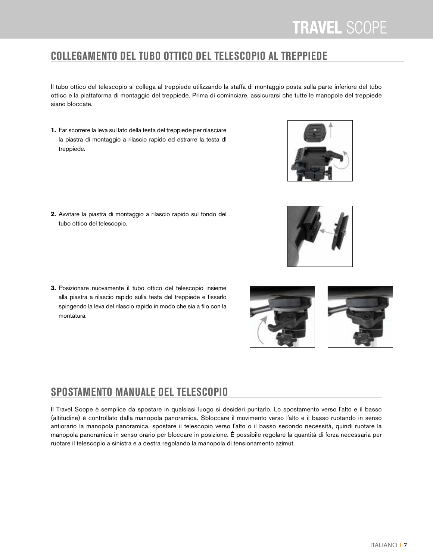### **COLLEGAMENTO DEL TUBO OTTICO DEL TELESCOPIO AL TREPPIEDE**

Il tubo ottico del telescopio si collega al treppiede utilizzando la staffa di montaggio posta sulla parte inferiore del tubo ottico e la piattaforma di montaggio del treppiede. Prima di cominciare, assicurarsi che tutte le manopole del treppiede siano bloccate.

**1.** Far scorrere la leva sul lato della testa del treppiede per rilasciare la piastra di montaggio a rilascio rapido ed estrarre la testa dl treppiede.

**2.**Avvitare la piastra di montaggio a rilascio rapido sul fondo del tubo ottico del telescopio.

**3.**Posizionare nuovamente il tubo ottico del telescopio insieme alla piastra a rilascio rapido sulla testa del treppiede e fissarlo spingendo la leva del rilascio rapido in modo che sia a filo con la montatura.

### **SPOSTAMENTO MANUALE DEL TELESCOPIO**

Il Travel Scope è semplice da spostare in qualsiasi luogo si desideri puntarlo. Lo spostamento verso l'alto e il basso (altitudine) è controllato dalla manopola panoramica. Sbloccare il movimento verso l'alto e il basso ruotando in senso antiorario la manopola panoramica, spostare il telescopio verso l'alto o il basso secondo necessità, quindi ruotare la manopola panoramica in senso orario per bloccare in posizione. È possibile regolare la quantità di forza necessaria per ruotare il telescopio a sinistra e a destra regolando la manopola di tensionamento azimut.





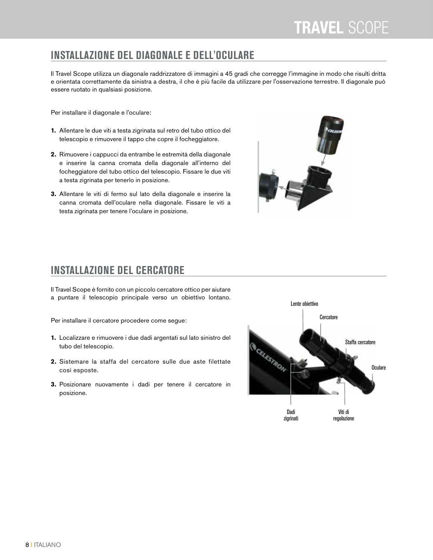#### **INSTALLAZIONE DEL DIAGONALE E DELL'OCULARE**

Il Travel Scope utilizza un diagonale raddrizzatore di immagini a 45 gradi che corregge l'immagine in modo che risulti dritta e orientata correttamente da sinistra a destra, il che è più facile da utilizzare per l'osservazione terrestre. Il diagonale può essere ruotato in qualsiasi posizione.

Per installare il diagonale e l'oculare:

- **1.** Allentare le due viti a testa zigrinata sul retro del tubo ottico del telescopio e rimuovere il tappo che copre il focheggiatore.
- **2.** Rimuovere i cappucci da entrambe le estremità della diagonale e inserire la canna cromata della diagonale all'interno del focheggiatore del tubo ottico del telescopio. Fissare le due viti a testa zigrinata per tenerlo in posizione.
- **3.** Allentare le viti di fermo sul lato della diagonale e inserire la canna cromata dell'oculare nella diagonale. Fissare le viti a testa zigrinata per tenere l'oculare in posizione.



#### **INSTALLAZIONE DEL CERCATORE**

Il Travel Scope è fornito con un piccolo cercatore ottico per aiutare a puntare il telescopio principale verso un obiettivo lontano.

Per installare il cercatore procedere come segue:

- **1.** Localizzare e rimuovere i due dadi argentati sul lato sinistro del tubo del telescopio.
- **2.** Sistemare la staffa del cercatore sulle due aste filettate così esposte.
- **3.** Posizionare nuovamente i dadi per tenere il cercatore in posizione.

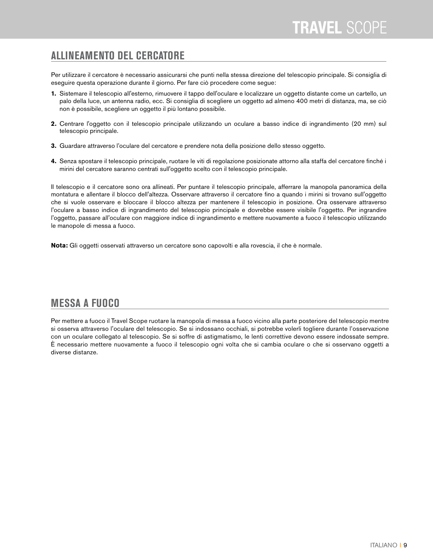#### **ALLINEAMENTO DEL CERCATORE**

Per utilizzare il cercatore è necessario assicurarsi che punti nella stessa direzione del telescopio principale. Si consiglia di eseguire questa operazione durante il giorno. Per fare ciò procedere come segue:

- **1.** Sistemare il telescopio all'esterno, rimuovere il tappo dell'oculare e localizzare un oggetto distante come un cartello, un palo della luce, un antenna radio, ecc. Si consiglia di scegliere un oggetto ad almeno 400 metri di distanza, ma, se ciò non è possibile, scegliere un oggetto il più lontano possibile.
- **2.** Centrare l'oggetto con il telescopio principale utilizzando un oculare a basso indice di ingrandimento (20 mm) sul telescopio principale.
- **3.** Guardare attraverso l'oculare del cercatore e prendere nota della posizione dello stesso oggetto.
- **4.** Senza spostare il telescopio principale, ruotare le viti di regolazione posizionate attorno alla staffa del cercatore finché i mirini del cercatore saranno centrati sull'oggetto scelto con il telescopio principale.

Il telescopio e il cercatore sono ora allineati. Per puntare il telescopio principale, afferrare la manopola panoramica della montatura e allentare il blocco dell'altezza. Osservare attraverso il cercatore fino a quando i mirini si trovano sull'oggetto che si vuole osservare e bloccare il blocco altezza per mantenere il telescopio in posizione. Ora osservare attraverso l'oculare a basso indice di ingrandimento del telescopio principale e dovrebbe essere visibile l'oggetto. Per ingrandire l'oggetto, passare all'oculare con maggiore indice di ingrandimento e mettere nuovamente a fuoco il telescopio utilizzando le manopole di messa a fuoco.

**Nota:** Gli oggetti osservati attraverso un cercatore sono capovolti e alla rovescia, il che è normale.

#### **MESSA A FUOCO**

Per mettere a fuoco il Travel Scope ruotare la manopola di messa a fuoco vicino alla parte posteriore del telescopio mentre si osserva attraverso l'oculare del telescopio. Se si indossano occhiali, si potrebbe volerli togliere durante l'osservazione con un oculare collegato al telescopio. Se si soffre di astigmatismo, le lenti correttive devono essere indossate sempre. È necessario mettere nuovamente a fuoco il telescopio ogni volta che si cambia oculare o che si osservano oggetti a diverse distanze.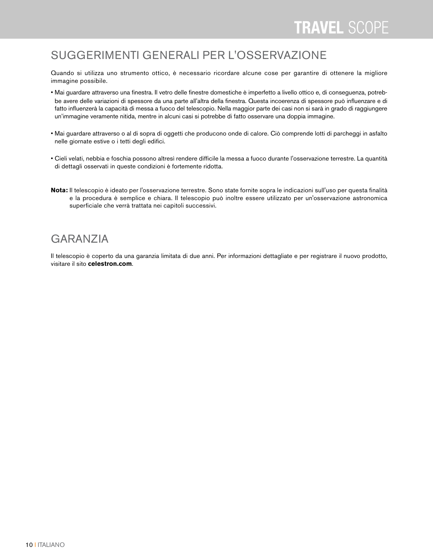#### SUGGERIMENTI GENERALI PER L'OSSERVAZIONE

Quando si utilizza uno strumento ottico, è necessario ricordare alcune cose per garantire di ottenere la migliore immagine possibile.

- Mai guardare attraverso una finestra. Il vetro delle finestre domestiche è imperfetto a livello ottico e, di conseguenza, potrebbe avere delle variazioni di spessore da una parte all'altra della finestra. Questa incoerenza di spessore può influenzare e di fatto influenzerà la capacità di messa a fuoco del telescopio. Nella maggior parte dei casi non si sarà in grado di raggiungere un'immagine veramente nitida, mentre in alcuni casi si potrebbe di fatto osservare una doppia immagine.
- Mai guardare attraverso o al di sopra di oggetti che producono onde di calore. Ciò comprende lotti di parcheggi in asfalto nelle giornate estive o i tetti degli edifici.
- Cieli velati, nebbia e foschia possono altresì rendere difficile la messa a fuoco durante l'osservazione terrestre. La quantità di dettagli osservati in queste condizioni è fortemente ridotta.
- **Nota:** Il telescopio è ideato per l'osservazione terrestre. Sono state fornite sopra le indicazioni sull'uso per questa finalità e la procedura è semplice e chiara. Il telescopio può inoltre essere utilizzato per un'osservazione astronomica superficiale che verrà trattata nei capitoli successivi.

#### GARANZIA

Il telescopio è coperto da una garanzia limitata di due anni. Per informazioni dettagliate e per registrare il nuovo prodotto, visitare il sito **celestron.com**.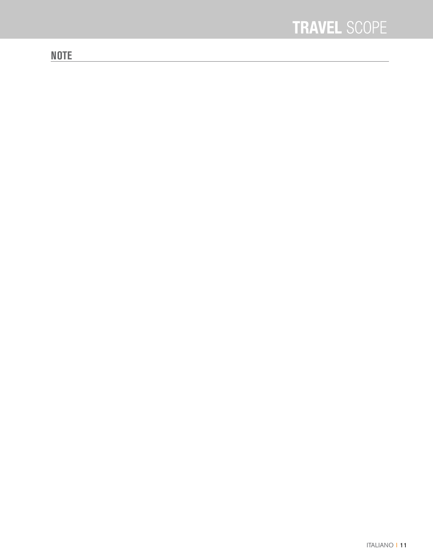#### **NOTE**